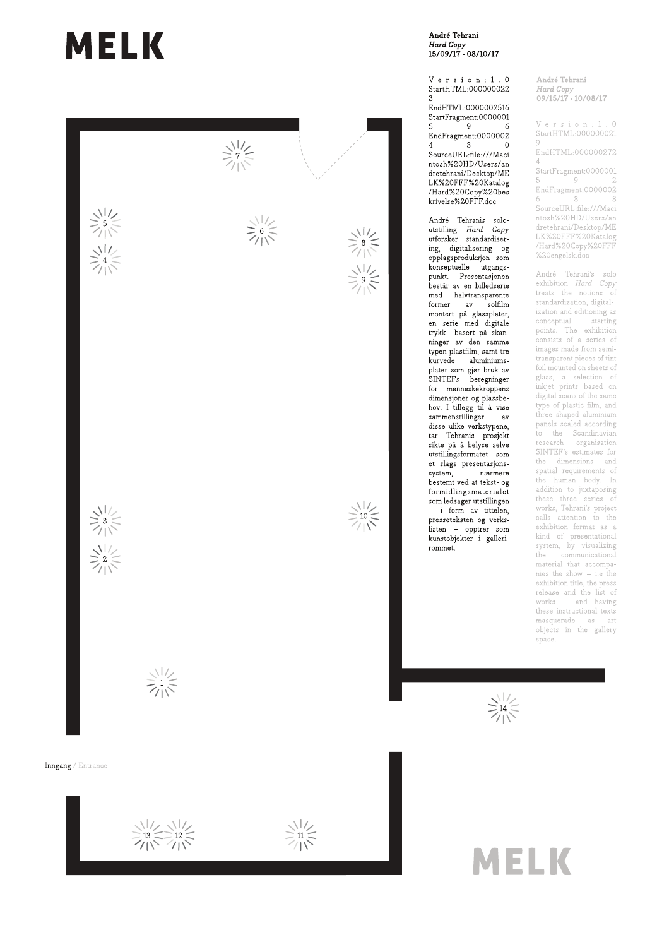# **MELK**



#### André Tehrani Hard Copy<br>Hard Copy<br>15/09/17 - 08/10/17

Version:  $1.0$ StartHTML:000000022  $\mathbf{R}$ 

EndHTML:0000002516 StartFragment:0000001  $5^{\circ}$  $\overline{9}$ 6  ${\rm EndFragment}{:}0000002$  $\mathbf{8}$  $\overline{4}$  $\Omega$ SourceURL:file:///Maci ntosh%20HD/Users/an dretehrani/Desktop/ME LK%20FFF%20Katalog /Hard%20Copy%20bes krivelse%20FFF.doc

André Tehranis soloutstilling  $Hard \ Copy$ utforsker standardisering, digitalisering og opplagsproduksjon som konseptuelle utgangspunkt. Presentasjonen består av en billedserie  $\quad \ \ \text{med} \quad \quad \ \text{halvtransparent} \quad$ former av solfilm montert på glassplater, en serie med digitale trykk basert på skanninger av den samme typen plastfilm, samt tre kurvede aluminiumsplater som gjør bruk av<br>SINTEF's beregninger for menneskekroppens dimensjoner og plassbehov. I tillegg til å vise sammenstillinger  $-av$ disse ulike verkstypene, tar Tehranis prosjekt sikte på å belyse selve utstillingsformatet som et slags presentasjonssystem, nærmere bestemt ved at tekst- og formidlingsmaterialet som ledsager utstillingen - i form av tittelen, presseteksten og verkslisten - opptrer som kunstobjekter i gallerirommet.

André Tehrani Hard Copy<br>19715/17 - 10/08/17

Version:  $1.0$ StartHTML:000000021  $\overline{9}$ 

EndHTML:000000272  $\overline{4}$ 

StartFragment:0000001 5  $9$ EndFragment:0000002 6 8 -8 SourceURL:file:///Maci ntosh%20HD/Users/an dretehrani/Desktop/ME LK%20FFF%20Katalog /Hard%20Copy%20FFF %20engelsk.doc

André Tehrani's solo exhibition Hard Copy treats the notions of standardization, digitalization and editioning as conceptual starting points. The exhibition consists of a series of images made from semitransparent pieces of tint foil mounted on sheets of glass, a selection of inkjet prints based on digital scans of the same type of plastic film, and three shaped aluminium panels scaled according to the Scandinavian<br>research organisation SINTEF's estimates for the dimensions and spatial requirements of the human body. In addition to juxtaposing<br>these three series of works, Tehrani's project calls attention to the exhibition format as a kind of presentational system, by visualizing the communicational<br>material that accompanies the show  $-$  i.e the exhibition title, the press release and the list of works - and having these instructional texts  $\begin{tabular}{llll} \bf{masquerade} & \tt as & \tt art \end{tabular}$ objects in the gallery space.

 $\geq \frac{1}{14}$ 

# **MELK**

 $\frac{1}{2}$  13  $\le$  12  $\le$  12  $\le$  17  $\le$  17  $\le$  17  $\le$